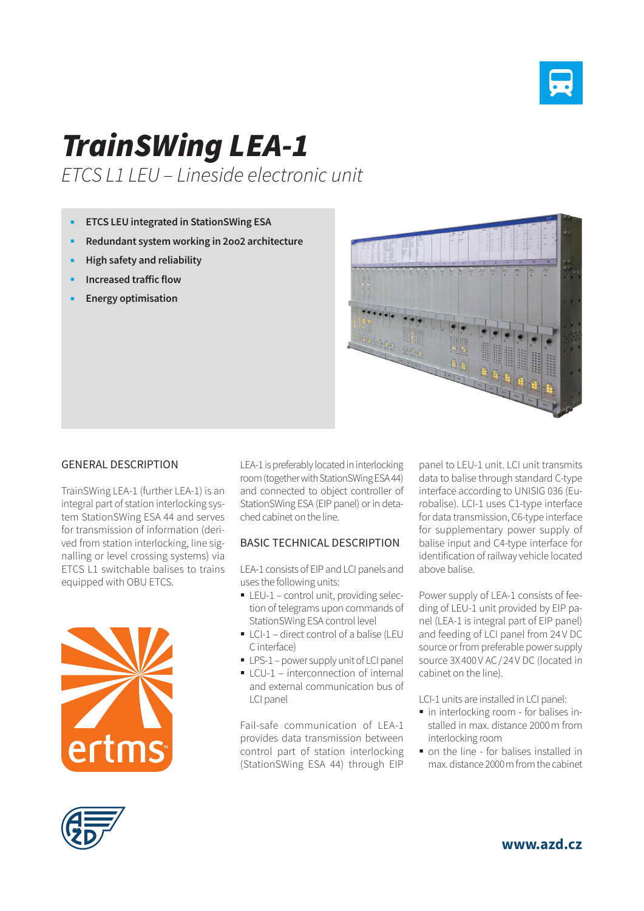

# *TrainSWing LEA-1*

*ETCS L1 LEU – Lineside electronic unit*

- **ETCS LEU integrated in StationSWing ESA**
- **Redundant system working in 2oo2 architecture**
- **High safety and reliability**
- **Increased traffic flow**
- **Energy optimisation**



#### GENERAL DESCRIPTION

TrainSWing LEA-1 (further LEA-1) is an integral part of station interlocking system StationSWing ESA 44 and serves for transmission of information (derived from station interlocking, line signalling or level crossing systems) via ETCS L1 switchable balises to trains equipped with OBU ETCS.



LEA-1 is preferably located in interlocking room (together with StationSWing ESA 44) and connected to object controller of StationSWing ESA (EIP panel) or in detached cabinet on the line.

### BASIC TECHNICAL DESCRIPTION

LEA-1 consists of EIP and LCI panels and uses the following units:

- **LEU-1 control unit, providing selec**tion of telegrams upon commands of StationSWing ESA control level
- LCI-1 direct control of a balise (LEU C interface)
- **LPS-1** power supply unit of LCI panel
- LCU-1 interconnection of internal and external communication bus of LCI panel

Fail-safe communication of LEA-1 provides data transmission between control part of station interlocking (StationSWing ESA 44) through EIP

panel to LEU-1 unit. LCI unit transmits data to balise through standard C-type interface according to UNISIG 036 (Eurobalise). LCI-1 uses C1-type interface for data transmission, C6-type interface for supplementary power supply of balise input and C4-type interface for identification of railway vehicle located above balise.

Power supply of LEA-1 consists of feeding of LEU-1 unit provided by EIP panel (LEA-1 is integral part of EIP panel) and feeding of LCI panel from 24V DC source or from preferable power supply source 3X400V AC/24V DC (located in cabinet on the line).

LCI-1 units are installed in LCI panel:

- in interlocking room for balises installed in max. distance 2000m from interlocking room
- on the line for balises installed in max. distance 2000m from the cabinet



**www.azd.cz**